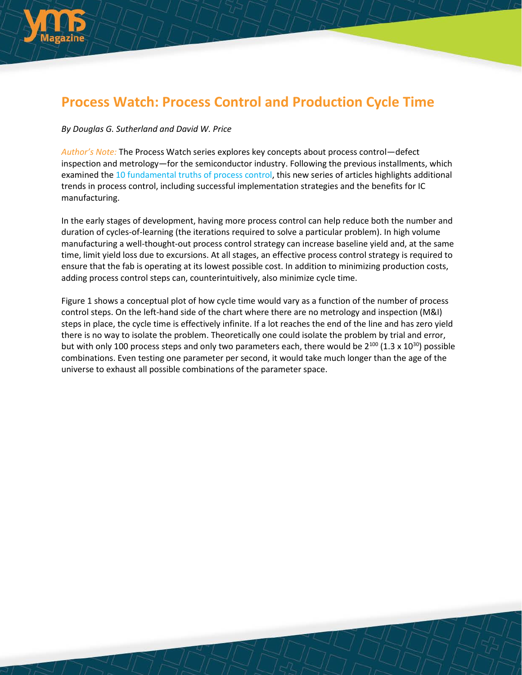

# **Process Watch: Process Control and Production Cycle Time**

# *By Douglas G. Sutherland and David W. Price*

*Author's Note:* The Process Watch series explores key concepts about process control—defect inspection and metrology—for the semiconductor industry. Following the previous installments, which examined the [10 fundamental truths of process control,](http://electroiq.com/blog/2014/07/process-watch-the-10-fundamental-truths-of-process-control-for-the-semiconductor-ic-industry/) this new series of articles highlights additional trends in process control, including successful implementation strategies and the benefits for IC manufacturing.

In the early stages of development, having more process control can help reduce both the number and duration of cycles-of-learning (the iterations required to solve a particular problem). In high volume manufacturing a well-thought-out process control strategy can increase baseline yield and, at the same time, limit yield loss due to excursions. At all stages, an effective process control strategy is required to ensure that the fab is operating at its lowest possible cost. In addition to minimizing production costs, adding process control steps can, counterintuitively, also minimize cycle time.

Figure 1 shows a conceptual plot of how cycle time would vary as a function of the number of process control steps. On the left-hand side of the chart where there are no metrology and inspection (M&I) steps in place, the cycle time is effectively infinite. If a lot reaches the end of the line and has zero yield there is no way to isolate the problem. Theoretically one could isolate the problem by trial and error, but with only 100 process steps and only two parameters each, there would be  $2^{100}$  (1.3 x 10<sup>30</sup>) possible combinations. Even testing one parameter per second, it would take much longer than the age of the universe to exhaust all possible combinations of the parameter space.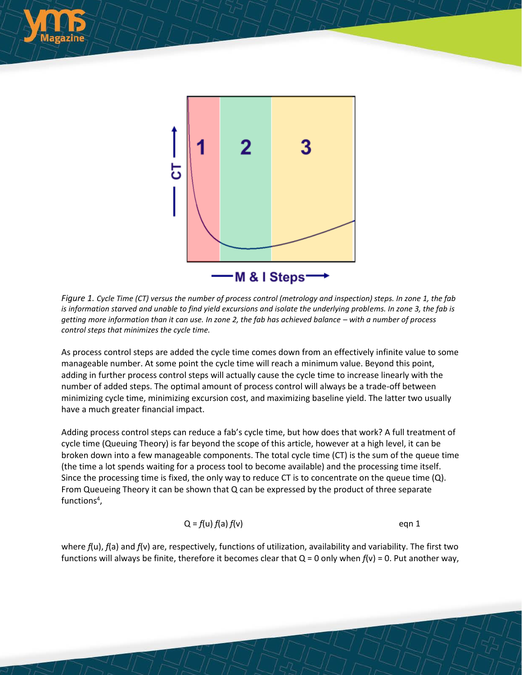



*Figure 1. Cycle Time (CT) versus the number of process control (metrology and inspection) steps. In zone 1, the fab is information starved and unable to find yield excursions and isolate the underlying problems. In zone 3, the fab is getting more information than it can use. In zone 2, the fab has achieved balance – with a number of process control steps that minimizes the cycle time.* 

As process control steps are added the cycle time comes down from an effectively infinite value to some manageable number. At some point the cycle time will reach a minimum value. Beyond this point, adding in further process control steps will actually cause the cycle time to increase linearly with the number of added steps. The optimal amount of process control will always be a trade-off between minimizing cycle time, minimizing excursion cost, and maximizing baseline yield. The latter two usually have a much greater financial impact.

Adding process control steps can reduce a fab's cycle time, but how does that work? A full treatment of cycle time (Queuing Theory) is far beyond the scope of this article, however at a high level, it can be broken down into a few manageable components. The total cycle time (CT) is the sum of the queue time (the time a lot spends waiting for a process tool to become available) and the processing time itself. Since the processing time is fixed, the only way to reduce CT is to concentrate on the queue time  $(Q)$ . From Queueing Theory it can be shown that Q can be expressed by the product of three separate functions<sup>4</sup>,

$$
Q = f(u) f(a) f(v)
$$
eqn 1

where *f*(u), *f*(a) and *f*(v) are, respectively, functions of utilization, availability and variability. The first two functions will always be finite, therefore it becomes clear that  $Q = 0$  only when  $f(v) = 0$ . Put another way,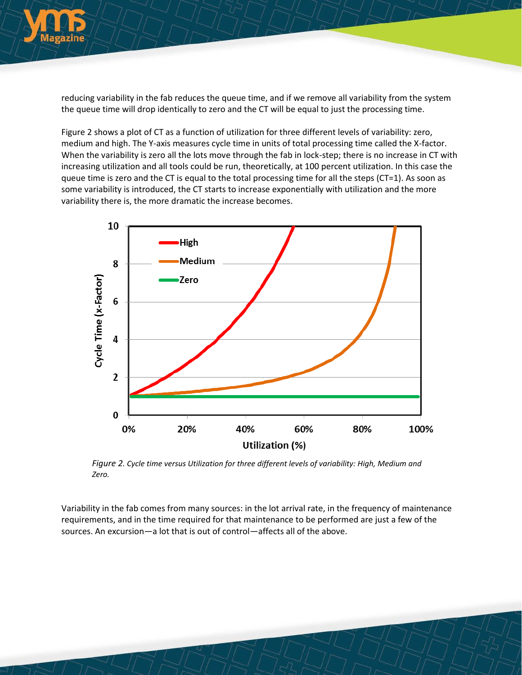

reducing variability in the fab reduces the queue time, and if we remove all variability from the system the queue time will drop identically to zero and the CT will be equal to just the processing time.

Figure 2 shows a plot of CT as a function of utilization for three different levels of variability: zero, medium and high. The Y-axis measures cycle time in units of total processing time called the X-factor. When the variability is zero all the lots move through the fab in lock-step; there is no increase in CT with increasing utilization and all tools could be run, theoretically, at 100 percent utilization. In this case the queue time is zero and the CT is equal to the total processing time for all the steps (CT=1). As soon as some variability is introduced, the CT starts to increase exponentially with utilization and the more variability there is, the more dramatic the increase becomes.



*Figure 2. Cycle time versus Utilization for three different levels of variability: High, Medium and Zero.*

Variability in the fab comes from many sources: in the lot arrival rate, in the frequency of maintenance requirements, and in the time required for that maintenance to be performed are just a few of the sources. An excursion—a lot that is out of control—affects all of the above.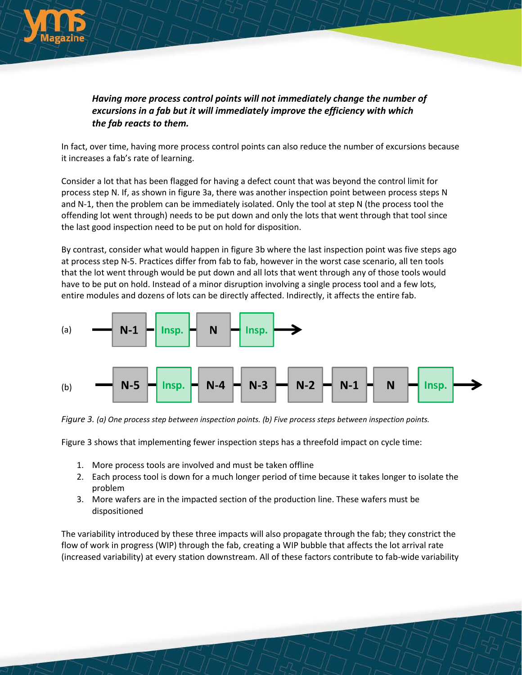

# *Having more process control points will not immediately change the number of excursions in a fab but it will immediately improve the efficiency with which the fab reacts to them.*

In fact, over time, having more process control points can also reduce the number of excursions because it increases a fab's rate of learning.

Consider a lot that has been flagged for having a defect count that was beyond the control limit for process step N. If, as shown in figure 3a, there was another inspection point between process steps N and N-1, then the problem can be immediately isolated. Only the tool at step N (the process tool the offending lot went through) needs to be put down and only the lots that went through that tool since the last good inspection need to be put on hold for disposition.

By contrast, consider what would happen in figure 3b where the last inspection point was five steps ago at process step N-5. Practices differ from fab to fab, however in the worst case scenario, all ten tools that the lot went through would be put down and all lots that went through any of those tools would have to be put on hold. Instead of a minor disruption involving a single process tool and a few lots, entire modules and dozens of lots can be directly affected. Indirectly, it affects the entire fab.



*Figure 3. (a) One process step between inspection points. (b) Five process steps between inspection points.*

Figure 3 shows that implementing fewer inspection steps has a threefold impact on cycle time:

- 1. More process tools are involved and must be taken offline
- 2. Each process tool is down for a much longer period of time because it takes longer to isolate the problem
- 3. More wafers are in the impacted section of the production line. These wafers must be dispositioned

The variability introduced by these three impacts will also propagate through the fab; they constrict the flow of work in progress (WIP) through the fab, creating a WIP bubble that affects the lot arrival rate (increased variability) at every station downstream. All of these factors contribute to fab-wide variability